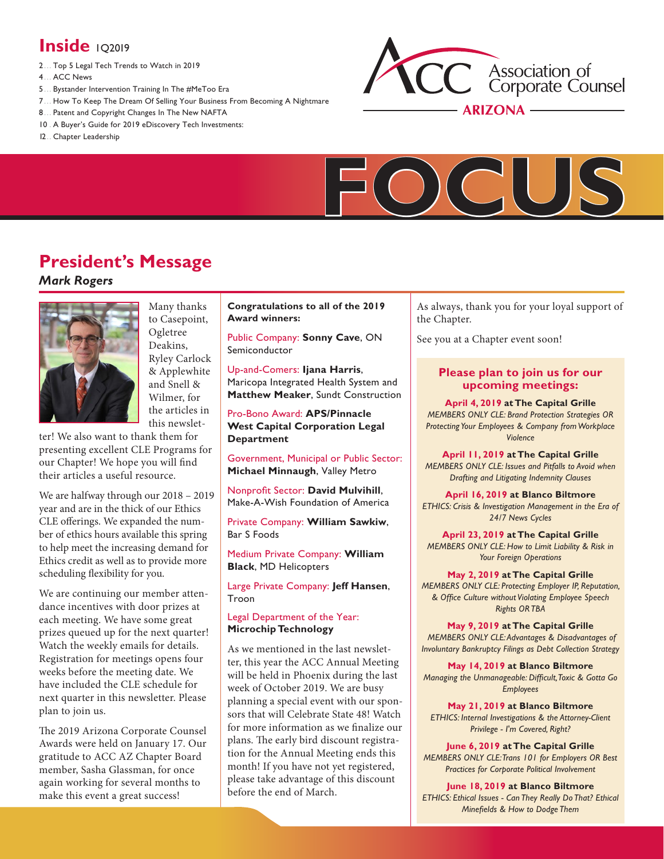# **Inside** 102019

- 2 ... [Top 5 Legal Tech Trends to Watch in 2019](#page-1-0)
- 4 ... [ACC News](#page-3-0)
- 5 ... [Bystander Intervention Training In The #MeToo Era](#page-4-0)
- 7 ... [How To Keep The Dream Of Selling Your Business From Becoming A Nightmare](#page-6-0)
- 8 ... [Patent and Copyright Changes In The New NAFTA](#page-7-0)
- 10 . A Buyer's Guide for 2019 eDiscovery Tech Investments:
- 12.. [Chapter Leadership](#page-11-0)





# **President's Message**

## *Mark Rogers*



Many thanks to Casepoint, Ogletree Deakins, Ryley Carlock & Applewhite and Snell & Wilmer, for the articles in this newslet-

ter! We also want to thank them for presenting excellent CLE Programs for our Chapter! We hope you will find their articles a useful resource.

We are halfway through our 2018 – 2019 year and are in the thick of our Ethics CLE offerings. We expanded the number of ethics hours available this spring to help meet the increasing demand for Ethics credit as well as to provide more scheduling flexibility for you.

We are continuing our member attendance incentives with door prizes at each meeting. We have some great prizes queued up for the next quarter! Watch the weekly emails for details. Registration for meetings opens four weeks before the meeting date. We have included the CLE schedule for next quarter in this newsletter. Please plan to join us.

The 2019 Arizona Corporate Counsel Awards were held on January 17. Our gratitude to ACC AZ Chapter Board member, Sasha Glassman, for once again working for several months to make this event a great success!

**Congratulations to all of the 2019 Award winners:**

Public Company: **Sonny Cave**, ON Semiconductor

Up-and-Comers: **Ijana Harris**, Maricopa Integrated Health System and **Matthew Meaker**, Sundt Construction

Pro-Bono Award: **APS/Pinnacle West Capital Corporation Legal Department**

Government, Municipal or Public Sector: **Michael Minnaugh**, Valley Metro

Nonprofit Sector: **David Mulvihill**, Make-A-Wish Foundation of America

Private Company: **William Sawkiw**, Bar S Foods

Medium Private Company: **William Black**, MD Helicopters

Large Private Company: **Jeff Hansen**, Troon

#### Legal Department of the Year: **Microchip Technology**

As we mentioned in the last newsletter, this year the ACC Annual Meeting will be held in Phoenix during the last week of October 2019. We are busy planning a special event with our sponsors that will Celebrate State 48! Watch for more information as we finalize our plans. The early bird discount registration for the Annual Meeting ends this month! If you have not yet registered, please take advantage of this discount before the end of March.

As always, thank you for your loyal support of the Chapter.

See you at a Chapter event soon!

### **Please plan to join us for our upcoming meetings:**

**April 4, 2019 at The Capital Grille**  *MEMBERS ONLY CLE: Brand Protection Strategies OR Protecting Your Employees & Company from Workplace Violence* 

**April 11, 2019 at The Capital Grille**  *MEMBERS ONLY CLE: Issues and Pitfalls to Avoid when Drafting and Litigating Indemnity Clauses*

**April 16, 2019 at Blanco Biltmore**  *ETHICS: Crisis & Investigation Management in the Era of 24/7 News Cycles*

**April 23, 2019 at The Capital Grille** *MEMBERS ONLY CLE: How to Limit Liability & Risk in Your Foreign Operations*

**May 2, 2019 at The Capital Grille**  *MEMBERS ONLY CLE: Protecting Employer IP, Reputation, & Office Culture without Violating Employee Speech Rights OR TBA*

**May 9, 2019 at The Capital Grille**  *MEMBERS ONLY CLE: Advantages & Disadvantages of Involuntary Bankruptcy Filings as Debt Collection Strategy*

**May 14, 2019 at Blanco Biltmore**  *Managing the Unmanageable: Difficult, Toxic & Gotta Go Employees*

**May 21, 2019 at Blanco Biltmore**  *ETHICS: Internal Investigations & the Attorney-Client Privilege - I'm Covered, Right?*

**June 6, 2019 at The Capital Grille**  *MEMBERS ONLY CLE: Trans 101 for Employers OR Best Practices for Corporate Political Involvement*

**June 18, 2019 at Blanco Biltmore**  *ETHICS: Ethical Issues - Can They Really Do That? Ethical Minefields & How to Dodge Them*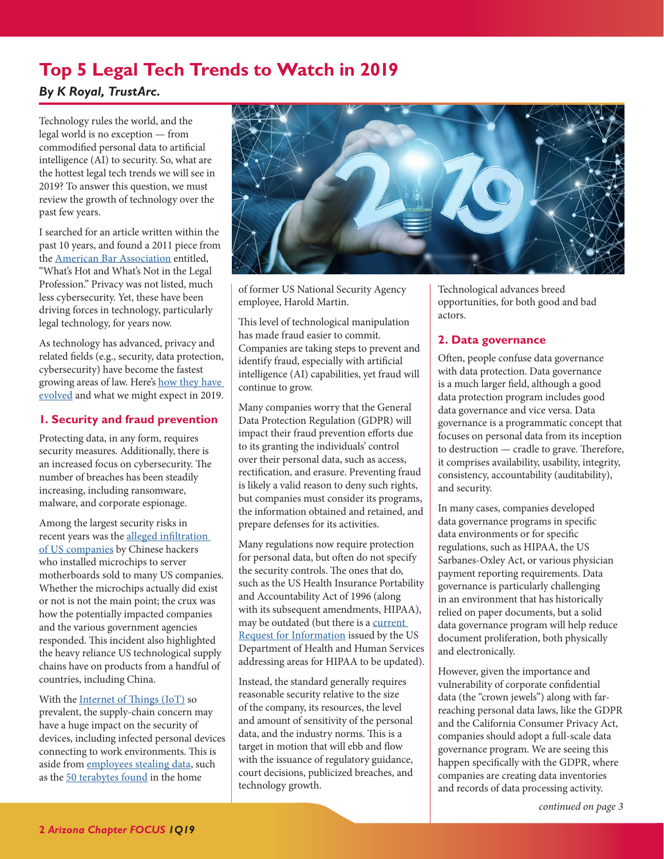## <span id="page-1-1"></span><span id="page-1-0"></span>**Top 5 Legal Tech Trends to Watch in 2019**  *By K Royal, TrustArc.*

Technology rules the world, and the legal world is no exception — from

commodified personal data to artificial intelligence (AI) to security. So, what are the hottest legal tech trends we will see in 2019? To answer this question, we must review the growth of technology over the past few years.

I searched for an article written within the past 10 years, and found a 2011 piece from the [American Bar Association](https://www.americanbar.org) entitled, "What's Hot and What's Not in the Legal Profession." Privacy was not listed, much less cybersecurity. Yet, these have been driving forces in technology, particularly legal technology, for years now.

As technology has advanced, privacy and related fields (e.g., security, data protection, cybersecurity) have become the fastest growing areas of law. Here's [how they have](https://www.accdocket.com/articles/10-lessons-in-house-counsel-learned-in-2018.cfm)  [evolved](https://www.accdocket.com/articles/10-lessons-in-house-counsel-learned-in-2018.cfm) and what we might expect in 2019.

## **1. Security and fraud prevention**

Protecting data, in any form, requires security measures. Additionally, there is an increased focus on cybersecurity. The number of breaches has been steadily increasing, including ransomware, malware, and corporate espionage.

Among the largest security risks in recent years was the [alleged infiltration](https://www.bloomberg.com/news/features/2018-10-04/the-big-hack-how-china-used-a-tiny-chip-to-infiltrate-america-s-top-companies)  [of US companies](https://www.bloomberg.com/news/features/2018-10-04/the-big-hack-how-china-used-a-tiny-chip-to-infiltrate-america-s-top-companies) by Chinese hackers who installed microchips to server motherboards sold to many US companies. Whether the microchips actually did exist or not is not the main point; the crux was how the potentially impacted companies and the various government agencies responded. This incident also highlighted the heavy reliance US technological supply chains have on products from a handful of countries, including China.

With the [Internet of Things \(IoT\)](https://www.accdocket.com/articles/big-data-internet-of-things-ai.cfm) so prevalent, the supply-chain concern may have a huge impact on the security of devices, including infected personal devices connecting to work environments. This is aside from [employees stealing data,](https://www.accdocket.com/docket/articles/resource.cfm?show=1488517) such as the [50 terabytes found](https://www.nytimes.com/2018/01/03/us/politics/harold-martin-nsa-guilty-plea-offer.html) in the home



of former US National Security Agency employee, Harold Martin.

This level of technological manipulation has made fraud easier to commit. Companies are taking steps to prevent and identify fraud, especially with artificial intelligence (AI) capabilities, yet fraud will continue to grow.

Many companies worry that the General Data Protection Regulation (GDPR) will impact their fraud prevention efforts due to its granting the individuals' control over their personal data, such as access, rectification, and erasure. Preventing fraud is likely a valid reason to deny such rights, but companies must consider its programs, the information obtained and retained, and prepare defenses for its activities.

Many regulations now require protection for personal data, but often do not specify the security controls. The ones that do, such as the US Health Insurance Portability and Accountability Act of 1996 (along with its subsequent amendments, HIPAA), may be outdated (but there is a [current](https://www.govinfo.gov/app/details/FR-2018-12-14/2018-27162)  [Request for Information](https://www.govinfo.gov/app/details/FR-2018-12-14/2018-27162) issued by the US Department of Health and Human Services addressing areas for HIPAA to be updated).

Instead, the standard generally requires reasonable security relative to the size of the company, its resources, the level and amount of sensitivity of the personal data, and the industry norms. This is a target in motion that will ebb and flow with the issuance of regulatory guidance, court decisions, publicized breaches, and technology growth.

Technological advances breed opportunities, for both good and bad actors.

## **2. Data governance**

Often, people confuse data governance with data protection. Data governance is a much larger field, although a good data protection program includes good data governance and vice versa. Data governance is a programmatic concept that focuses on personal data from its inception to destruction — cradle to grave. Therefore, it comprises availability, usability, integrity, consistency, accountability (auditability), and security.

In many cases, companies developed data governance programs in specific data environments or for specific regulations, such as HIPAA, the US Sarbanes-Oxley Act, or various physician payment reporting requirements. Data governance is particularly challenging in an environment that has historically relied on paper documents, but a solid data governance program will help reduce document proliferation, both physically and electronically.

However, given the importance and vulnerability of corporate confidential data (the "crown jewels") along with farreaching personal data laws, like the GDPR and the California Consumer Privacy Act, companies should adopt a full-scale data governance program. We are seeing this happen specifically with the GDPR, where companies are creating data inventories and records of data processing activity.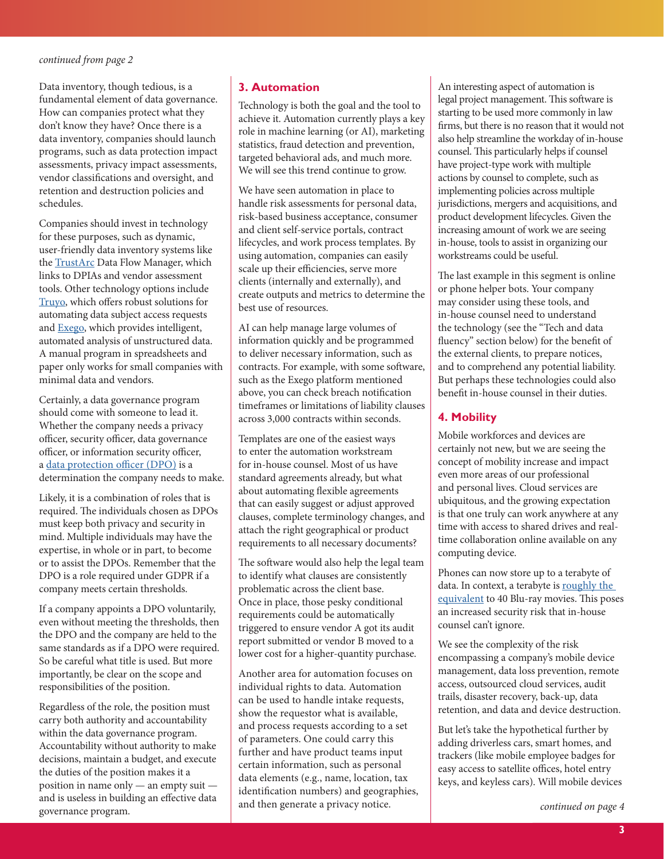<span id="page-2-0"></span>Data inventory, though tedious, is a fundamental element of data governance. How can companies protect what they don't know they have? Once there is a data inventory, companies should launch programs, such as data protection impact assessments, privacy impact assessments, vendor classifications and oversight, and retention and destruction policies and schedules.

Companies should invest in technology for these purposes, such as dynamic, user-friendly data inventory systems like the [TrustArc](https://www.trustarc.com/products/data-inventory-and-classification) Data Flow Manager, which links to DPIAs and vendor assessment tools. Other technology options include [Truyo](https://insights.truyo.com), which offers robust solutions for automating data subject access requests and [Exego,](http://www.planetdata.com/exego) which provides intelligent, automated analysis of unstructured data. A manual program in spreadsheets and paper only works for small companies with minimal data and vendors.

Certainly, a data governance program should come with someone to lead it. Whether the company needs a privacy officer, security officer, data governance officer, or information security officer, a [data protection officer \(DPO\)](https://www.acc.com/legalresources/resource.cfm?show=1493964) is a determination the company needs to make.

Likely, it is a combination of roles that is required. The individuals chosen as DPOs must keep both privacy and security in mind. Multiple individuals may have the expertise, in whole or in part, to become or to assist the DPOs. Remember that the DPO is a role required under GDPR if a company meets certain thresholds.

If a company appoints a DPO voluntarily, even without meeting the thresholds, then the DPO and the company are held to the same standards as if a DPO were required. So be careful what title is used. But more importantly, be clear on the scope and responsibilities of the position.

Regardless of the role, the position must carry both authority and accountability within the data governance program. Accountability without authority to make decisions, maintain a budget, and execute the duties of the position makes it a position in name only — an empty suit and is useless in building an effective data governance program.

## **3. Automation**

Technology is both the goal and the tool to achieve it. Automation currently plays a key role in machine learning (or AI), marketing statistics, fraud detection and prevention, targeted behavioral ads, and much more. We will see this trend continue to grow.

We have seen automation in place to handle risk assessments for personal data, risk-based business acceptance, consumer and client self-service portals, contract lifecycles, and work process templates. By using automation, companies can easily scale up their efficiencies, serve more clients (internally and externally), and create outputs and metrics to determine the best use of resources.

AI can help manage large volumes of information quickly and be programmed to deliver necessary information, such as contracts. For example, with some software, such as the Exego platform mentioned above, you can check breach notification timeframes or limitations of liability clauses across 3,000 contracts within seconds.

Templates are one of the easiest ways to enter the automation workstream for in-house counsel. Most of us have standard agreements already, but what about automating flexible agreements that can easily suggest or adjust approved clauses, complete terminology changes, and attach the right geographical or product requirements to all necessary documents?

The software would also help the legal team to identify what clauses are consistently problematic across the client base. Once in place, those pesky conditional requirements could be automatically triggered to ensure vendor A got its audit report submitted or vendor B moved to a lower cost for a higher-quantity purchase.

Another area for automation focuses on individual rights to data. Automation can be used to handle intake requests, show the requestor what is available, and process requests according to a set of parameters. One could carry this further and have product teams input certain information, such as personal data elements (e.g., name, location, tax identification numbers) and geographies, and then generate a privacy notice.

An interesting aspect of automation is legal project management. This software is starting to be used more commonly in law firms, but there is no reason that it would not also help streamline the workday of in-house counsel. This particularly helps if counsel have project-type work with multiple actions by counsel to complete, such as implementing policies across multiple jurisdictions, mergers and acquisitions, and product development lifecycles. Given the increasing amount of work we are seeing in-house, tools to assist in organizing our workstreams could be useful.

The last example in this segment is online or phone helper bots. Your company may consider using these tools, and in-house counsel need to understand the technology (see the "Tech and data fluency" section below) for the benefit of the external clients, to prepare notices, and to comprehend any potential liability. But perhaps these technologies could also benefit in-house counsel in their duties.

## **4. Mobility**

Mobile workforces and devices are certainly not new, but we are seeing the concept of mobility increase and impact even more areas of our professional and personal lives. Cloud services are ubiquitous, and the growing expectation is that one truly can work anywhere at any time with access to shared drives and realtime collaboration online available on any computing device.

Phones can now store up to a terabyte of data. In context, a terabyte is [roughly the](https://www.redcentricplc.com/resources/infographics/byte-size)  [equivalent](https://www.redcentricplc.com/resources/infographics/byte-size) to 40 Blu-ray movies. This poses an increased security risk that in-house counsel can't ignore.

We see the complexity of the risk encompassing a company's mobile device management, data loss prevention, remote access, outsourced cloud services, audit trails, disaster recovery, back-up, data retention, and data and device destruction.

But let's take the hypothetical further by adding driverless cars, smart homes, and trackers (like mobile employee badges for easy access to satellite offices, hotel entry keys, and keyless cars). Will mobile devices

*[continued on page 4](#page-3-1)*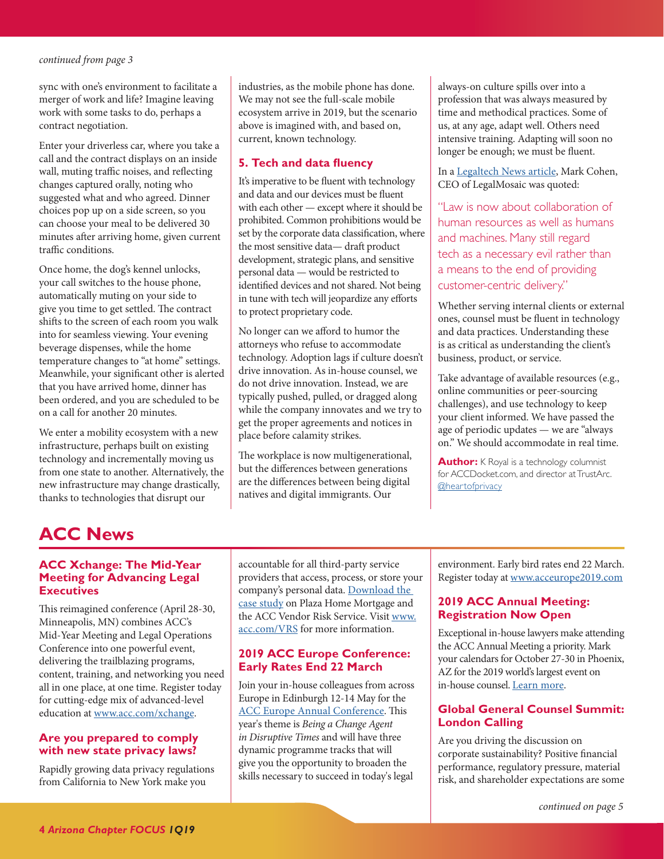<span id="page-3-1"></span>sync with one's environment to facilitate a merger of work and life? Imagine leaving work with some tasks to do, perhaps a contract negotiation.

Enter your driverless car, where you take a call and the contract displays on an inside wall, muting traffic noises, and reflecting changes captured orally, noting who suggested what and who agreed. Dinner choices pop up on a side screen, so you can choose your meal to be delivered 30 minutes after arriving home, given current traffic conditions.

Once home, the dog's kennel unlocks, your call switches to the house phone, automatically muting on your side to give you time to get settled. The contract shifts to the screen of each room you walk into for seamless viewing. Your evening beverage dispenses, while the home temperature changes to "at home" settings. Meanwhile, your significant other is alerted that you have arrived home, dinner has been ordered, and you are scheduled to be on a call for another 20 minutes.

We enter a mobility ecosystem with a new infrastructure, perhaps built on existing technology and incrementally moving us from one state to another. Alternatively, the new infrastructure may change drastically, thanks to technologies that disrupt our

industries, as the mobile phone has done. We may not see the full-scale mobile ecosystem arrive in 2019, but the scenario above is imagined with, and based on, current, known technology.

## **5. Tech and data fluency**

It's imperative to be fluent with technology and data and our devices must be fluent with each other — except where it should be prohibited. Common prohibitions would be set by the corporate data classification, where the most sensitive data— draft product development, strategic plans, and sensitive personal data — would be restricted to identified devices and not shared. Not being in tune with tech will jeopardize any efforts to protect proprietary code.

No longer can we afford to humor the attorneys who refuse to accommodate technology. Adoption lags if culture doesn't drive innovation. As in-house counsel, we do not drive innovation. Instead, we are typically pushed, pulled, or dragged along while the company innovates and we try to get the proper agreements and notices in place before calamity strikes.

The workplace is now multigenerational, but the differences between generations are the differences between being digital natives and digital immigrants. Our

always-on culture spills over into a profession that was always measured by time and methodical practices. Some of us, at any age, adapt well. Others need intensive training. Adapting will soon no longer be enough; we must be fluent.

In a [Legaltech News article,](https://www.law.com/legaltechnews/2018/11/28/three-technology-hurdles-you-need-to-get-over-in-2019) Mark Cohen, CEO of LegalMosaic was quoted:

"Law is now about collaboration of human resources as well as humans and machines. Many still regard tech as a necessary evil rather than a means to the end of providing customer-centric delivery."

Whether serving internal clients or external ones, counsel must be fluent in technology and data practices. Understanding these is as critical as understanding the client's business, product, or service.

Take advantage of available resources (e.g., online communities or peer-sourcing challenges), and use technology to keep your client informed. We have passed the age of periodic updates — we are "always on." We should accommodate in real time.

**Author:** K Royal is a technology columnist for ACCDocket.com, and director at TrustArc. [@heartofprivacy](https://twitter.com/heartofprivacy)

# <span id="page-3-0"></span>**ACC News**

## **ACC Xchange: The Mid-Year Meeting for Advancing Legal Executives**

This reimagined conference (April 28-30, Minneapolis, MN) combines ACC's Mid-Year Meeting and Legal Operations Conference into one powerful event, delivering the trailblazing programs, content, training, and networking you need all in one place, at one time. Register today for cutting-edge mix of advanced-level education at [www.acc.com/xchange](http://www.acc.com/xchange).

## **Are you prepared to comply with new state privacy laws?**

Rapidly growing data privacy regulations from California to New York make you

accountable for all third-party service providers that access, process, or store your company's personal data. Download the [case study](https://images.magnetmail.net/images/clients/ACCounsel/attach/VRSCaseStudy.pdf) on Plaza Home Mortgage and the ACC Vendor Risk Service. Visit [www.](http://www.acc.com/VRS) [acc.com/VRS](http://www.acc.com/VRS) for more information.

## **2019 ACC Europe Conference: Early Rates End 22 March**

Join your in-house colleagues from across Europe in Edinburgh 12-14 May for the [ACC Europe Annual Conference](http://www.mmsend2.com/link.cfm?r=1iyzPjIMykfLXjVFMzf58Q~~&pe=k6SPW4fItREs2bZS5mHtZD9r-8U-KlqpL3ycYtg4u1F8rSFQAL8BT5in-GJnCpVpo273XEJPmrEOpeGLNU2AtA~~&t=WdawNibqTVgfcDrJmn-Cbg~~). This year's theme is *Being a Change Agent in Disruptive Times* and will have three dynamic programme tracks that will give you the opportunity to broaden the skills necessary to succeed in today's legal

environment. Early bird rates end 22 March. Register today at [www.acceurope2019.com](http://www.acceurope2019.com)

## **2019 ACC Annual Meeting: Registration Now Open**

Exceptional in-house lawyers make attending the ACC Annual Meeting a priority. Mark your calendars for October 27-30 in Phoenix, AZ for the 2019 world's largest event on in-house counsel. [Learn more](https://www.acc.com/education/am19/index.cfm).

## **Global General Counsel Summit: London Calling**

Are you driving the discussion on corporate sustainability? Positive financial performance, regulatory pressure, material risk, and shareholder expectations are some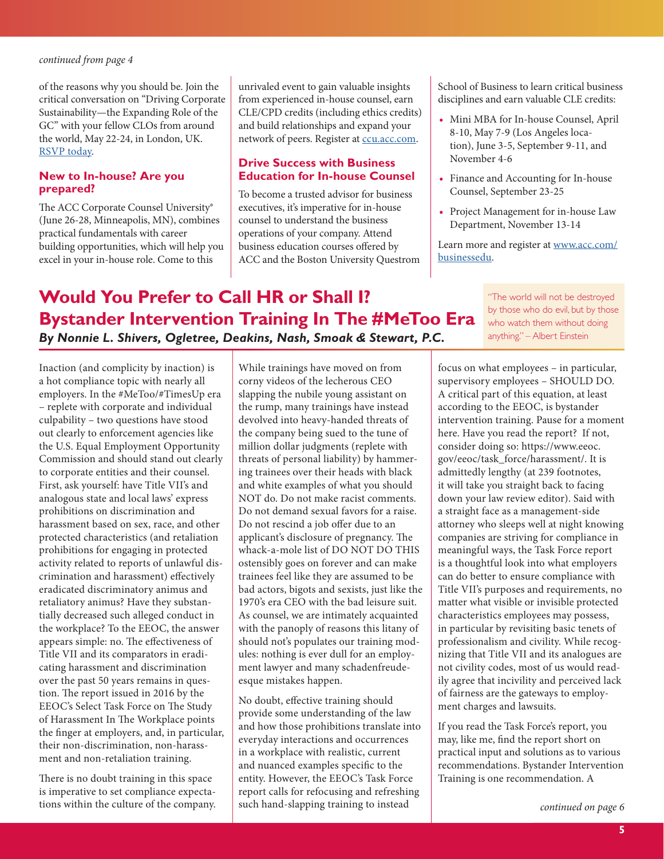<span id="page-4-1"></span>of the reasons why you should be. Join the critical conversation on "Driving Corporate Sustainability—the Expanding Role of the GC" with your fellow CLOs from around the world, May 22-24, in London, UK. [RSVP today](https://accounsel.realmagnet.land/gcsummit-landingpage).

## **New to In-house? Are you prepared?**

The ACC Corporate Counsel University® (June 26-28, Minneapolis, MN), combines practical fundamentals with career building opportunities, which will help you excel in your in-house role. Come to this

unrivaled event to gain valuable insights from experienced in-house counsel, earn CLE/CPD credits (including ethics credits) and build relationships and expand your network of peers. Register at [ccu.acc.com.](http://www.acc.com/education/ccu/index.cfm)

## **Drive Success with Business Education for In-house Counsel**

To become a trusted advisor for business executives, it's imperative for in-house counsel to understand the business operations of your company. Attend business education courses offered by ACC and the Boston University Questrom School of Business to learn critical business disciplines and earn valuable CLE credits:

- **•** Mini MBA for In-house Counsel, April 8-10, May 7-9 (Los Angeles location), June 3-5, September 9-11, and November 4-6
- **•** Finance and Accounting for In-house Counsel, September 23-25
- **•** Project Management for in-house Law Department, November 13-14

Learn more and register at [www.acc.com/](http://www.acc.com/education/businessedu/index.cfm) [businessedu](http://www.acc.com/education/businessedu/index.cfm).

# <span id="page-4-0"></span>**Would You Prefer to Call HR or Shall I? Bystander Intervention Training In The #MeToo Era** *By Nonnie L. Shivers, Ogletree, Deakins, Nash, Smoak & Stewart, P.C.*

"The world will not be destroyed by those who do evil, but by those who watch them without doing anything." – Albert Einstein

Inaction (and complicity by inaction) is a hot compliance topic with nearly all employers. In the #MeToo/#TimesUp era – replete with corporate and individual culpability – two questions have stood out clearly to enforcement agencies like the U.S. Equal Employment Opportunity Commission and should stand out clearly to corporate entities and their counsel. First, ask yourself: have Title VII's and analogous state and local laws' express prohibitions on discrimination and harassment based on sex, race, and other protected characteristics (and retaliation prohibitions for engaging in protected activity related to reports of unlawful discrimination and harassment) effectively eradicated discriminatory animus and retaliatory animus? Have they substantially decreased such alleged conduct in the workplace? To the EEOC, the answer appears simple: no. The effectiveness of Title VII and its comparators in eradicating harassment and discrimination over the past 50 years remains in question. The report issued in 2016 by the EEOC's Select Task Force on The Study of Harassment In The Workplace points the finger at employers, and, in particular, their non-discrimination, non-harassment and non-retaliation training.

There is no doubt training in this space is imperative to set compliance expectations within the culture of the company. While trainings have moved on from corny videos of the lecherous CEO slapping the nubile young assistant on the rump, many trainings have instead devolved into heavy-handed threats of the company being sued to the tune of million dollar judgments (replete with threats of personal liability) by hammering trainees over their heads with black and white examples of what you should NOT do. Do not make racist comments. Do not demand sexual favors for a raise. Do not rescind a job offer due to an applicant's disclosure of pregnancy. The whack-a-mole list of DO NOT DO THIS ostensibly goes on forever and can make trainees feel like they are assumed to be bad actors, bigots and sexists, just like the 1970's era CEO with the bad leisure suit. As counsel, we are intimately acquainted with the panoply of reasons this litany of should not's populates our training modules: nothing is ever dull for an employment lawyer and many schadenfreudeesque mistakes happen.

No doubt, effective training should provide some understanding of the law and how those prohibitions translate into everyday interactions and occurrences in a workplace with realistic, current and nuanced examples specific to the entity. However, the EEOC's Task Force report calls for refocusing and refreshing such hand-slapping training to instead

focus on what employees – in particular, supervisory employees – SHOULD DO. A critical part of this equation, at least according to the EEOC, is bystander intervention training. Pause for a moment here. Have you read the report? If not, consider doing so: https://www.eeoc. gov/eeoc/task\_force/harassment/. It is admittedly lengthy (at 239 footnotes, it will take you straight back to facing down your law review editor). Said with a straight face as a management-side attorney who sleeps well at night knowing companies are striving for compliance in meaningful ways, the Task Force report is a thoughtful look into what employers can do better to ensure compliance with Title VII's purposes and requirements, no matter what visible or invisible protected characteristics employees may possess, in particular by revisiting basic tenets of professionalism and civility. While recognizing that Title VII and its analogues are not civility codes, most of us would readily agree that incivility and perceived lack of fairness are the gateways to employment charges and lawsuits.

If you read the Task Force's report, you may, like me, find the report short on practical input and solutions as to various recommendations. Bystander Intervention Training is one recommendation. A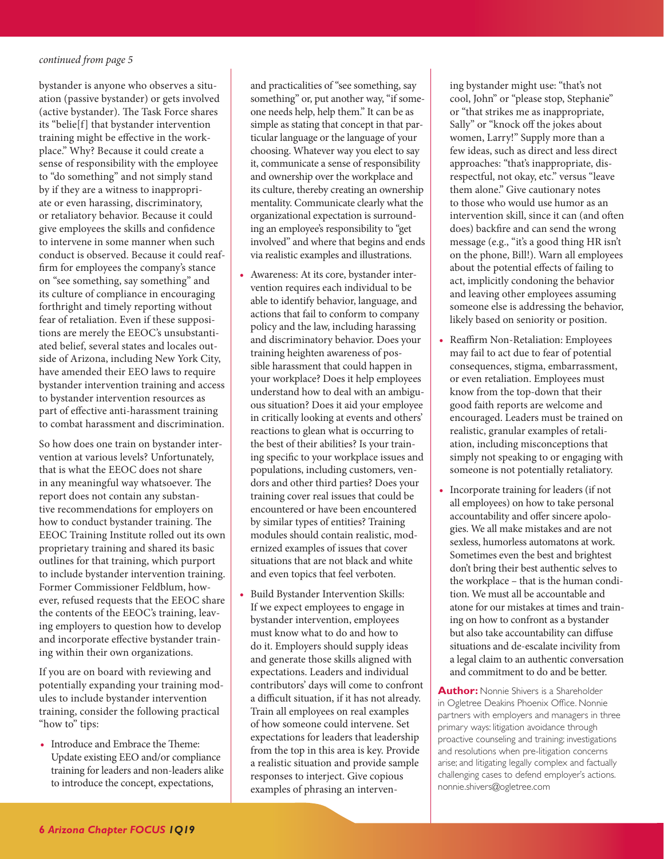<span id="page-5-0"></span>bystander is anyone who observes a situation (passive bystander) or gets involved (active bystander). The Task Force shares its "belie[f] that bystander intervention training might be effective in the workplace." Why? Because it could create a sense of responsibility with the employee to "do something" and not simply stand by if they are a witness to inappropriate or even harassing, discriminatory, or retaliatory behavior. Because it could give employees the skills and confidence to intervene in some manner when such conduct is observed. Because it could reaffirm for employees the company's stance on "see something, say something" and its culture of compliance in encouraging forthright and timely reporting without fear of retaliation. Even if these suppositions are merely the EEOC's unsubstantiated belief, several states and locales outside of Arizona, including New York City, have amended their EEO laws to require bystander intervention training and access to bystander intervention resources as part of effective anti-harassment training to combat harassment and discrimination.

So how does one train on bystander intervention at various levels? Unfortunately, that is what the EEOC does not share in any meaningful way whatsoever. The report does not contain any substantive recommendations for employers on how to conduct bystander training. The EEOC Training Institute rolled out its own proprietary training and shared its basic outlines for that training, which purport to include bystander intervention training. Former Commissioner Feldblum, however, refused requests that the EEOC share the contents of the EEOC's training, leaving employers to question how to develop and incorporate effective bystander training within their own organizations.

If you are on board with reviewing and potentially expanding your training modules to include bystander intervention training, consider the following practical "how to" tips:

**•** Introduce and Embrace the Theme: Update existing EEO and/or compliance training for leaders and non-leaders alike to introduce the concept, expectations,

and practicalities of "see something, say something" or, put another way, "if someone needs help, help them." It can be as simple as stating that concept in that particular language or the language of your choosing. Whatever way you elect to say it, communicate a sense of responsibility and ownership over the workplace and its culture, thereby creating an ownership mentality. Communicate clearly what the organizational expectation is surrounding an employee's responsibility to "get involved" and where that begins and ends via realistic examples and illustrations.

- **•** Awareness: At its core, bystander intervention requires each individual to be able to identify behavior, language, and actions that fail to conform to company policy and the law, including harassing and discriminatory behavior. Does your training heighten awareness of possible harassment that could happen in your workplace? Does it help employees understand how to deal with an ambiguous situation? Does it aid your employee in critically looking at events and others' reactions to glean what is occurring to the best of their abilities? Is your training specific to your workplace issues and populations, including customers, vendors and other third parties? Does your training cover real issues that could be encountered or have been encountered by similar types of entities? Training modules should contain realistic, modernized examples of issues that cover situations that are not black and white and even topics that feel verboten.
- **•** Build Bystander Intervention Skills: If we expect employees to engage in bystander intervention, employees must know what to do and how to do it. Employers should supply ideas and generate those skills aligned with expectations. Leaders and individual contributors' days will come to confront a difficult situation, if it has not already. Train all employees on real examples of how someone could intervene. Set expectations for leaders that leadership from the top in this area is key. Provide a realistic situation and provide sample responses to interject. Give copious examples of phrasing an interven-

ing bystander might use: "that's not cool, John" or "please stop, Stephanie" or "that strikes me as inappropriate, Sally" or "knock off the jokes about women, Larry!" Supply more than a few ideas, such as direct and less direct approaches: "that's inappropriate, disrespectful, not okay, etc." versus "leave them alone." Give cautionary notes to those who would use humor as an intervention skill, since it can (and often does) backfire and can send the wrong message (e.g., "it's a good thing HR isn't on the phone, Bill!). Warn all employees about the potential effects of failing to act, implicitly condoning the behavior and leaving other employees assuming someone else is addressing the behavior, likely based on seniority or position.

- **•** Reaffirm Non-Retaliation: Employees may fail to act due to fear of potential consequences, stigma, embarrassment, or even retaliation. Employees must know from the top-down that their good faith reports are welcome and encouraged. Leaders must be trained on realistic, granular examples of retaliation, including misconceptions that simply not speaking to or engaging with someone is not potentially retaliatory.
- **•** Incorporate training for leaders (if not all employees) on how to take personal accountability and offer sincere apologies. We all make mistakes and are not sexless, humorless automatons at work. Sometimes even the best and brightest don't bring their best authentic selves to the workplace – that is the human condition. We must all be accountable and atone for our mistakes at times and training on how to confront as a bystander but also take accountability can diffuse situations and de-escalate incivility from a legal claim to an authentic conversation and commitment to do and be better.

**Author:** Nonnie Shivers is a Shareholder in Ogletree Deakins Phoenix Office. Nonnie partners with employers and managers in three primary ways: litigation avoidance through proactive counseling and training; investigations and resolutions when pre-litigation concerns arise; and litigating legally complex and factually challenging cases to defend employer's actions. nonnie.shivers@ogletree.com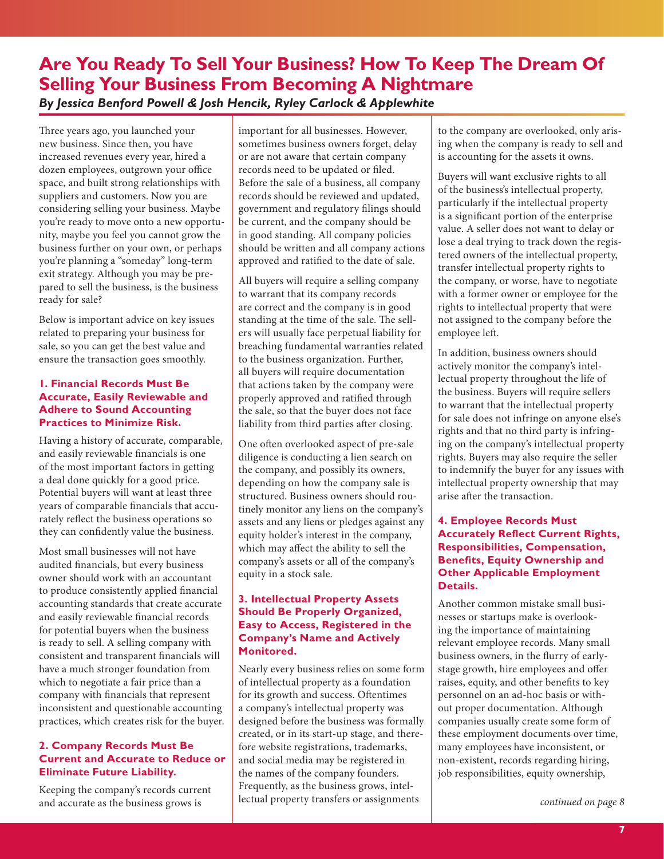## <span id="page-6-1"></span><span id="page-6-0"></span>**Are You Ready To Sell Your Business? How To Keep The Dream Of Selling Your Business From Becoming A Nightmare** *By Jessica Benford Powell & Josh Hencik, Ryley Carlock & Applewhite*

Three years ago, you launched your new business. Since then, you have increased revenues every year, hired a dozen employees, outgrown your office space, and built strong relationships with suppliers and customers. Now you are considering selling your business. Maybe you're ready to move onto a new opportunity, maybe you feel you cannot grow the business further on your own, or perhaps you're planning a "someday" long-term exit strategy. Although you may be prepared to sell the business, is the business ready for sale?

Below is important advice on key issues related to preparing your business for sale, so you can get the best value and ensure the transaction goes smoothly.

## **1. Financial Records Must Be Accurate, Easily Reviewable and Adhere to Sound Accounting Practices to Minimize Risk.**

Having a history of accurate, comparable, and easily reviewable financials is one of the most important factors in getting a deal done quickly for a good price. Potential buyers will want at least three years of comparable financials that accurately reflect the business operations so they can confidently value the business.

Most small businesses will not have audited financials, but every business owner should work with an accountant to produce consistently applied financial accounting standards that create accurate and easily reviewable financial records for potential buyers when the business is ready to sell. A selling company with consistent and transparent financials will have a much stronger foundation from which to negotiate a fair price than a company with financials that represent inconsistent and questionable accounting practices, which creates risk for the buyer.

## **2. Company Records Must Be Current and Accurate to Reduce or Eliminate Future Liability.**

Keeping the company's records current and accurate as the business grows is

important for all businesses. However, sometimes business owners forget, delay or are not aware that certain company records need to be updated or filed. Before the sale of a business, all company records should be reviewed and updated, government and regulatory filings should be current, and the company should be in good standing. All company policies should be written and all company actions approved and ratified to the date of sale.

All buyers will require a selling company to warrant that its company records are correct and the company is in good standing at the time of the sale. The sellers will usually face perpetual liability for breaching fundamental warranties related to the business organization. Further, all buyers will require documentation that actions taken by the company were properly approved and ratified through the sale, so that the buyer does not face liability from third parties after closing.

One often overlooked aspect of pre-sale diligence is conducting a lien search on the company, and possibly its owners, depending on how the company sale is structured. Business owners should routinely monitor any liens on the company's assets and any liens or pledges against any equity holder's interest in the company, which may affect the ability to sell the company's assets or all of the company's equity in a stock sale.

## **3. Intellectual Property Assets Should Be Properly Organized, Easy to Access, Registered in the Company's Name and Actively Monitored.**

Nearly every business relies on some form of intellectual property as a foundation for its growth and success. Oftentimes a company's intellectual property was designed before the business was formally created, or in its start-up stage, and therefore website registrations, trademarks, and social media may be registered in the names of the company founders. Frequently, as the business grows, intellectual property transfers or assignments

to the company are overlooked, only arising when the company is ready to sell and is accounting for the assets it owns.

Buyers will want exclusive rights to all of the business's intellectual property, particularly if the intellectual property is a significant portion of the enterprise value. A seller does not want to delay or lose a deal trying to track down the registered owners of the intellectual property, transfer intellectual property rights to the company, or worse, have to negotiate with a former owner or employee for the rights to intellectual property that were not assigned to the company before the employee left.

In addition, business owners should actively monitor the company's intellectual property throughout the life of the business. Buyers will require sellers to warrant that the intellectual property for sale does not infringe on anyone else's rights and that no third party is infringing on the company's intellectual property rights. Buyers may also require the seller to indemnify the buyer for any issues with intellectual property ownership that may arise after the transaction.

## **4. Employee Records Must Accurately Reflect Current Rights, Responsibilities, Compensation, Benefits, Equity Ownership and Other Applicable Employment Details.**

Another common mistake small businesses or startups make is overlooking the importance of maintaining relevant employee records. Many small business owners, in the flurry of earlystage growth, hire employees and offer raises, equity, and other benefits to key personnel on an ad-hoc basis or without proper documentation. Although companies usually create some form of these employment documents over time, many employees have inconsistent, or non-existent, records regarding hiring, job responsibilities, equity ownership,

*[continued on page 8](#page-7-1)*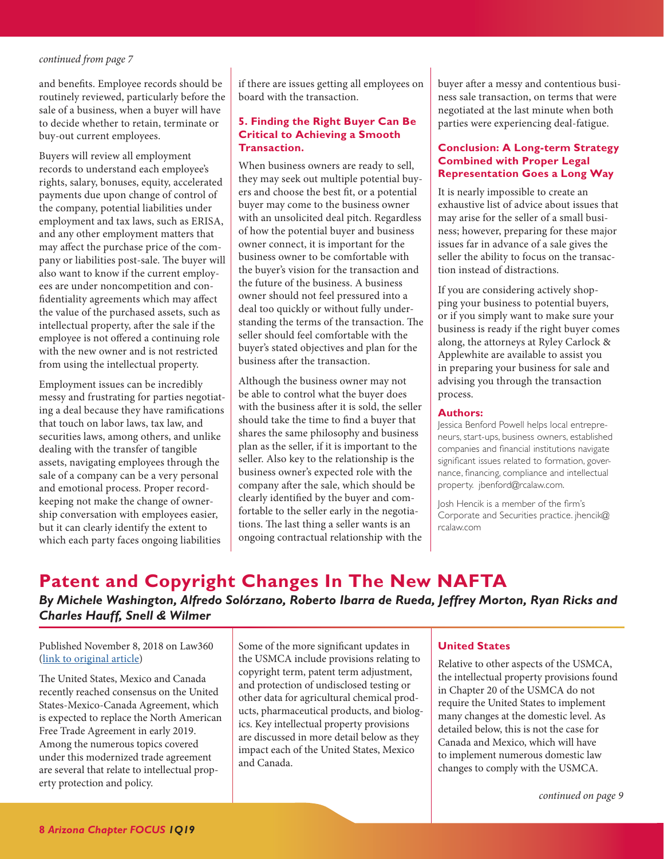<span id="page-7-1"></span>and benefits. Employee records should be routinely reviewed, particularly before the sale of a business, when a buyer will have to decide whether to retain, terminate or buy-out current employees.

Buyers will review all employment records to understand each employee's rights, salary, bonuses, equity, accelerated payments due upon change of control of the company, potential liabilities under employment and tax laws, such as ERISA, and any other employment matters that may affect the purchase price of the company or liabilities post-sale. The buyer will also want to know if the current employees are under noncompetition and confidentiality agreements which may affect the value of the purchased assets, such as intellectual property, after the sale if the employee is not offered a continuing role with the new owner and is not restricted from using the intellectual property.

Employment issues can be incredibly messy and frustrating for parties negotiating a deal because they have ramifications that touch on labor laws, tax law, and securities laws, among others, and unlike dealing with the transfer of tangible assets, navigating employees through the sale of a company can be a very personal and emotional process. Proper recordkeeping not make the change of ownership conversation with employees easier, but it can clearly identify the extent to which each party faces ongoing liabilities

if there are issues getting all employees on board with the transaction.

#### **5. Finding the Right Buyer Can Be Critical to Achieving a Smooth Transaction.**

When business owners are ready to sell, they may seek out multiple potential buyers and choose the best fit, or a potential buyer may come to the business owner with an unsolicited deal pitch. Regardless of how the potential buyer and business owner connect, it is important for the business owner to be comfortable with the buyer's vision for the transaction and the future of the business. A business owner should not feel pressured into a deal too quickly or without fully understanding the terms of the transaction. The seller should feel comfortable with the buyer's stated objectives and plan for the business after the transaction.

Although the business owner may not be able to control what the buyer does with the business after it is sold, the seller should take the time to find a buyer that shares the same philosophy and business plan as the seller, if it is important to the seller. Also key to the relationship is the business owner's expected role with the company after the sale, which should be clearly identified by the buyer and comfortable to the seller early in the negotiations. The last thing a seller wants is an ongoing contractual relationship with the buyer after a messy and contentious business sale transaction, on terms that were negotiated at the last minute when both parties were experiencing deal-fatigue.

### **Conclusion: A Long-term Strategy Combined with Proper Legal Representation Goes a Long Way**

It is nearly impossible to create an exhaustive list of advice about issues that may arise for the seller of a small business; however, preparing for these major issues far in advance of a sale gives the seller the ability to focus on the transaction instead of distractions.

If you are considering actively shopping your business to potential buyers, or if you simply want to make sure your business is ready if the right buyer comes along, the attorneys at Ryley Carlock & Applewhite are available to assist you in preparing your business for sale and advising you through the transaction process.

#### **Authors:**

Jessica Benford Powell helps local entrepreneurs, start-ups, business owners, established companies and financial institutions navigate significant issues related to formation, governance, financing, compliance and intellectual property. jbenford@rcalaw.com.

Josh Hencik is a member of the firm's Corporate and Securities practice. jhencik@ rcalaw.com

## <span id="page-7-0"></span>**Patent and Copyright Changes In The New NAFTA**  *By Michele Washington, Alfredo Solórzano, Roberto Ibarra de Rueda, Jeffrey Morton, Ryan Ricks and Charles Hauff, Snell & Wilmer*

## Published November 8, 2018 on Law360 [\(link to original article](https://www.law360.com/articles/1100259))

The United States, Mexico and Canada recently reached consensus on the United States-Mexico-Canada Agreement, which is expected to replace the North American Free Trade Agreement in early 2019. Among the numerous topics covered under this modernized trade agreement are several that relate to intellectual property protection and policy.

Some of the more significant updates in the USMCA include provisions relating to copyright term, patent term adjustment, and protection of undisclosed testing or other data for agricultural chemical products, pharmaceutical products, and biologics. Key intellectual property provisions are discussed in more detail below as they impact each of the United States, Mexico and Canada.

#### **United States**

Relative to other aspects of the USMCA, the intellectual property provisions found in Chapter 20 of the USMCA do not require the United States to implement many changes at the domestic level. As detailed below, this is not the case for Canada and Mexico, which will have to implement numerous domestic law changes to comply with the USMCA.

*[continued on page 9](#page-8-0)*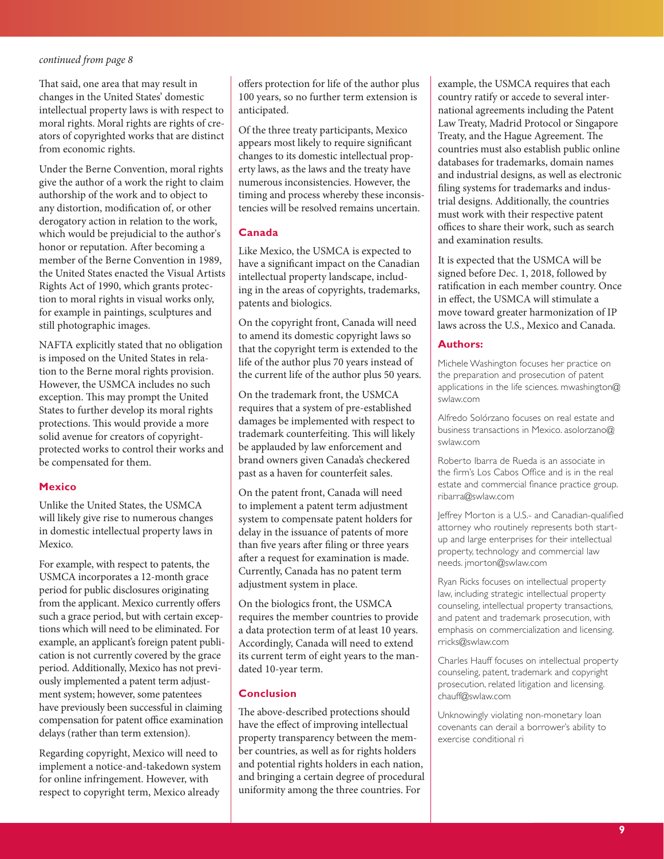<span id="page-8-0"></span>That said, one area that may result in changes in the United States' domestic intellectual property laws is with respect to moral rights. Moral rights are rights of creators of copyrighted works that are distinct from economic rights.

Under the Berne Convention, moral rights give the author of a work the right to claim authorship of the work and to object to any distortion, modification of, or other derogatory action in relation to the work, which would be prejudicial to the author's honor or reputation. After becoming a member of the Berne Convention in 1989, the United States enacted the Visual Artists Rights Act of 1990, which grants protection to moral rights in visual works only, for example in paintings, sculptures and still photographic images.

NAFTA explicitly stated that no obligation is imposed on the United States in relation to the Berne moral rights provision. However, the USMCA includes no such exception. This may prompt the United States to further develop its moral rights protections. This would provide a more solid avenue for creators of copyrightprotected works to control their works and be compensated for them.

#### **Mexico**

Unlike the United States, the USMCA will likely give rise to numerous changes in domestic intellectual property laws in Mexico.

For example, with respect to patents, the USMCA incorporates a 12-month grace period for public disclosures originating from the applicant. Mexico currently offers such a grace period, but with certain exceptions which will need to be eliminated. For example, an applicant's foreign patent publication is not currently covered by the grace period. Additionally, Mexico has not previously implemented a patent term adjustment system; however, some patentees have previously been successful in claiming compensation for patent office examination delays (rather than term extension).

Regarding copyright, Mexico will need to implement a notice-and-takedown system for online infringement. However, with respect to copyright term, Mexico already

offers protection for life of the author plus 100 years, so no further term extension is anticipated.

Of the three treaty participants, Mexico appears most likely to require significant changes to its domestic intellectual property laws, as the laws and the treaty have numerous inconsistencies. However, the timing and process whereby these inconsistencies will be resolved remains uncertain.

### **Canada**

Like Mexico, the USMCA is expected to have a significant impact on the Canadian intellectual property landscape, including in the areas of copyrights, trademarks, patents and biologics.

On the copyright front, Canada will need to amend its domestic copyright laws so that the copyright term is extended to the life of the author plus 70 years instead of the current life of the author plus 50 years.

On the trademark front, the USMCA requires that a system of pre-established damages be implemented with respect to trademark counterfeiting. This will likely be applauded by law enforcement and brand owners given Canada's checkered past as a haven for counterfeit sales.

On the patent front, Canada will need to implement a patent term adjustment system to compensate patent holders for delay in the issuance of patents of more than five years after filing or three years after a request for examination is made. Currently, Canada has no patent term adjustment system in place.

On the biologics front, the USMCA requires the member countries to provide a data protection term of at least 10 years. Accordingly, Canada will need to extend its current term of eight years to the mandated 10-year term.

#### **Conclusion**

The above-described protections should have the effect of improving intellectual property transparency between the member countries, as well as for rights holders and potential rights holders in each nation, and bringing a certain degree of procedural uniformity among the three countries. For

example, the USMCA requires that each country ratify or accede to several international agreements including the Patent Law Treaty, Madrid Protocol or Singapore Treaty, and the Hague Agreement. The countries must also establish public online databases for trademarks, domain names and industrial designs, as well as electronic filing systems for trademarks and industrial designs. Additionally, the countries must work with their respective patent offices to share their work, such as search and examination results.

It is expected that the USMCA will be signed before Dec. 1, 2018, followed by ratification in each member country. Once in effect, the USMCA will stimulate a move toward greater harmonization of IP laws across the U.S., Mexico and Canada.

#### **Authors:**

Michele Washington focuses her practice on the preparation and prosecution of patent applications in the life sciences. mwashington@ swlaw.com

Alfredo Solórzano focuses on real estate and business transactions in Mexico. asolorzano@ swlaw.com

Roberto Ibarra de Rueda is an associate in the firm's Los Cabos Office and is in the real estate and commercial finance practice group. ribarra@swlaw.com

Jeffrey Morton is a U.S.- and Canadian-qualified attorney who routinely represents both startup and large enterprises for their intellectual property, technology and commercial law needs. jmorton@swlaw.com

Ryan Ricks focuses on intellectual property law, including strategic intellectual property counseling, intellectual property transactions, and patent and trademark prosecution, with emphasis on commercialization and licensing. rricks@swlaw.com

Charles Hauff focuses on intellectual property counseling, patent, trademark and copyright prosecution, related litigation and licensing. chauff@swlaw.com

Unknowingly violating non-monetary loan covenants can derail a borrower's ability to exercise conditional ri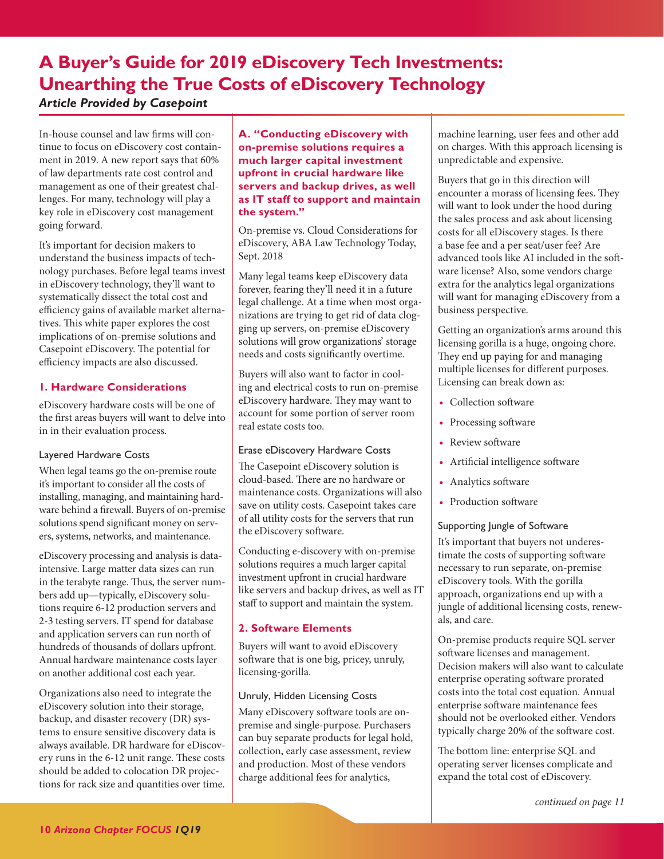## <span id="page-9-0"></span>**A Buyer's Guide for 2019 eDiscovery Tech Investments: Unearthing the True Costs of eDiscovery Technology** *Article Provided by Casepoint*

In-house counsel and law firms will continue to focus on eDiscovery cost containment in 2019. A new report says that 60% of law departments rate cost control and management as one of their greatest challenges. For many, technology will play a key role in eDiscovery cost management going forward.

It's important for decision makers to understand the business impacts of technology purchases. Before legal teams invest in eDiscovery technology, they'll want to systematically dissect the total cost and efficiency gains of available market alternatives. This white paper explores the cost implications of on-premise solutions and Casepoint eDiscovery. The potential for efficiency impacts are also discussed.

## **1. Hardware Considerations**

eDiscovery hardware costs will be one of the first areas buyers will want to delve into in in their evaluation process.

### Layered Hardware Costs

When legal teams go the on-premise route it's important to consider all the costs of installing, managing, and maintaining hardware behind a firewall. Buyers of on-premise solutions spend significant money on servers, systems, networks, and maintenance.

eDiscovery processing and analysis is dataintensive. Large matter data sizes can run in the terabyte range. Thus, the server numbers add up—typically, eDiscovery solutions require 6-12 production servers and 2-3 testing servers. IT spend for database and application servers can run north of hundreds of thousands of dollars upfront. Annual hardware maintenance costs layer on another additional cost each year.

Organizations also need to integrate the eDiscovery solution into their storage, backup, and disaster recovery (DR) systems to ensure sensitive discovery data is always available. DR hardware for eDiscovery runs in the 6-12 unit range. These costs should be added to colocation DR projections for rack size and quantities over time.

**A. "Conducting eDiscovery with on-premise solutions requires a much larger capital investment upfront in crucial hardware like servers and backup drives, as well as IT staff to support and maintain the system."** 

On-premise vs. Cloud Considerations for eDiscovery, ABA Law Technology Today, Sept. 2018

Many legal teams keep eDiscovery data forever, fearing they'll need it in a future legal challenge. At a time when most organizations are trying to get rid of data clogging up servers, on-premise eDiscovery solutions will grow organizations' storage needs and costs significantly overtime.

Buyers will also want to factor in cooling and electrical costs to run on-premise eDiscovery hardware. They may want to account for some portion of server room real estate costs too.

## Erase eDiscovery Hardware Costs

The Casepoint eDiscovery solution is cloud-based. There are no hardware or maintenance costs. Organizations will also save on utility costs. Casepoint takes care of all utility costs for the servers that run the eDiscovery software.

Conducting e-discovery with on-premise solutions requires a much larger capital investment upfront in crucial hardware like servers and backup drives, as well as IT staff to support and maintain the system.

## **2. Software Elements**

Buyers will want to avoid eDiscovery software that is one big, pricey, unruly, licensing-gorilla.

## Unruly, Hidden Licensing Costs

Many eDiscovery software tools are onpremise and single-purpose. Purchasers can buy separate products for legal hold, collection, early case assessment, review and production. Most of these vendors charge additional fees for analytics,

machine learning, user fees and other add on charges. With this approach licensing is unpredictable and expensive.

Buyers that go in this direction will encounter a morass of licensing fees. They will want to look under the hood during the sales process and ask about licensing costs for all eDiscovery stages. Is there a base fee and a per seat/user fee? Are advanced tools like AI included in the software license? Also, some vendors charge extra for the analytics legal organizations will want for managing eDiscovery from a business perspective.

Getting an organization's arms around this licensing gorilla is a huge, ongoing chore. They end up paying for and managing multiple licenses for different purposes. Licensing can break down as:

- **•** Collection software
- **•** Processing software
- **•** Review software
- **•** Artificial intelligence software
- **•** Analytics software
- **•** Production software

## Supporting Jungle of Software

It's important that buyers not underestimate the costs of supporting software necessary to run separate, on-premise eDiscovery tools. With the gorilla approach, organizations end up with a jungle of additional licensing costs, renewals, and care.

On-premise products require SQL server software licenses and management. Decision makers will also want to calculate enterprise operating software prorated costs into the total cost equation. Annual enterprise software maintenance fees should not be overlooked either. Vendors typically charge 20% of the software cost.

The bottom line: enterprise SQL and operating server licenses complicate and expand the total cost of eDiscovery.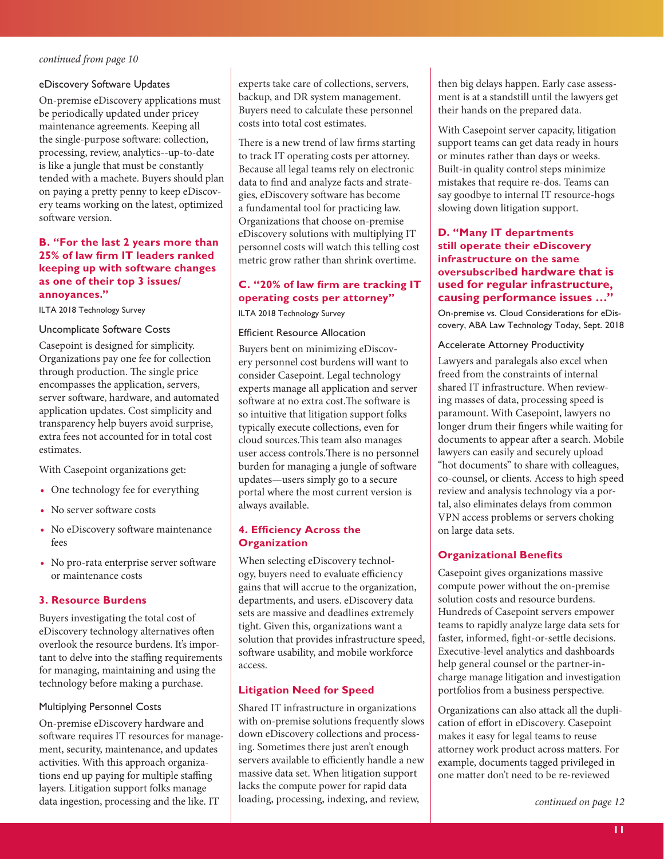#### <span id="page-10-0"></span>eDiscovery Software Updates

On-premise eDiscovery applications must be periodically updated under pricey maintenance agreements. Keeping all the single-purpose software: collection, processing, review, analytics--up-to-date is like a jungle that must be constantly tended with a machete. Buyers should plan on paying a pretty penny to keep eDiscovery teams working on the latest, optimized software version.

#### **B. "For the last 2 years more than 25% of law firm IT leaders ranked keeping up with software changes as one of their top 3 issues/ annoyances."**

ILTA 2018 Technology Survey

#### Uncomplicate Software Costs

Casepoint is designed for simplicity. Organizations pay one fee for collection through production. The single price encompasses the application, servers, server software, hardware, and automated application updates. Cost simplicity and transparency help buyers avoid surprise, extra fees not accounted for in total cost estimates.

With Casepoint organizations get:

- **•** One technology fee for everything
- **•** No server software costs
- **•** No eDiscovery software maintenance fees
- **•** No pro-rata enterprise server software or maintenance costs

### **3. Resource Burdens**

Buyers investigating the total cost of eDiscovery technology alternatives often overlook the resource burdens. It's important to delve into the staffing requirements for managing, maintaining and using the technology before making a purchase.

### Multiplying Personnel Costs

On-premise eDiscovery hardware and software requires IT resources for management, security, maintenance, and updates activities. With this approach organizations end up paying for multiple staffing layers. Litigation support folks manage data ingestion, processing and the like. IT

experts take care of collections, servers, backup, and DR system management. Buyers need to calculate these personnel costs into total cost estimates.

There is a new trend of law firms starting to track IT operating costs per attorney. Because all legal teams rely on electronic data to find and analyze facts and strategies, eDiscovery software has become a fundamental tool for practicing law. Organizations that choose on-premise eDiscovery solutions with multiplying IT personnel costs will watch this telling cost metric grow rather than shrink overtime.

## **C. "20% of law firm are tracking IT operating costs per attorney"**

ILTA 2018 Technology Survey

#### Efficient Resource Allocation

Buyers bent on minimizing eDiscovery personnel cost burdens will want to consider Casepoint. Legal technology experts manage all application and server software at no extra cost.The software is so intuitive that litigation support folks typically execute collections, even for cloud sources.This team also manages user access controls.There is no personnel burden for managing a jungle of software updates—users simply go to a secure portal where the most current version is always available.

### **4. Efficiency Across the Organization**

When selecting eDiscovery technology, buyers need to evaluate efficiency gains that will accrue to the organization, departments, and users. eDiscovery data sets are massive and deadlines extremely tight. Given this, organizations want a solution that provides infrastructure speed, software usability, and mobile workforce access.

### **Litigation Need for Speed**

Shared IT infrastructure in organizations with on-premise solutions frequently slows down eDiscovery collections and processing. Sometimes there just aren't enough servers available to efficiently handle a new massive data set. When litigation support lacks the compute power for rapid data loading, processing, indexing, and review,

then big delays happen. Early case assessment is at a standstill until the lawyers get their hands on the prepared data.

With Casepoint server capacity, litigation support teams can get data ready in hours or minutes rather than days or weeks. Built-in quality control steps minimize mistakes that require re-dos. Teams can say goodbye to internal IT resource-hogs slowing down litigation support.

## **D. "Many IT departments still operate their eDiscovery infrastructure on the same oversubscribed hardware that is used for regular infrastructure, causing performance issues …"**

On-premise vs. Cloud Considerations for eDiscovery, ABA Law Technology Today, Sept. 2018

#### Accelerate Attorney Productivity

Lawyers and paralegals also excel when freed from the constraints of internal shared IT infrastructure. When reviewing masses of data, processing speed is paramount. With Casepoint, lawyers no longer drum their fingers while waiting for documents to appear after a search. Mobile lawyers can easily and securely upload "hot documents" to share with colleagues, co-counsel, or clients. Access to high speed review and analysis technology via a portal, also eliminates delays from common VPN access problems or servers choking on large data sets.

### **Organizational Benefits**

Casepoint gives organizations massive compute power without the on-premise solution costs and resource burdens. Hundreds of Casepoint servers empower teams to rapidly analyze large data sets for faster, informed, fight-or-settle decisions. Executive-level analytics and dashboards help general counsel or the partner-incharge manage litigation and investigation portfolios from a business perspective.

Organizations can also attack all the duplication of effort in eDiscovery. Casepoint makes it easy for legal teams to reuse attorney work product across matters. For example, documents tagged privileged in one matter don't need to be re-reviewed